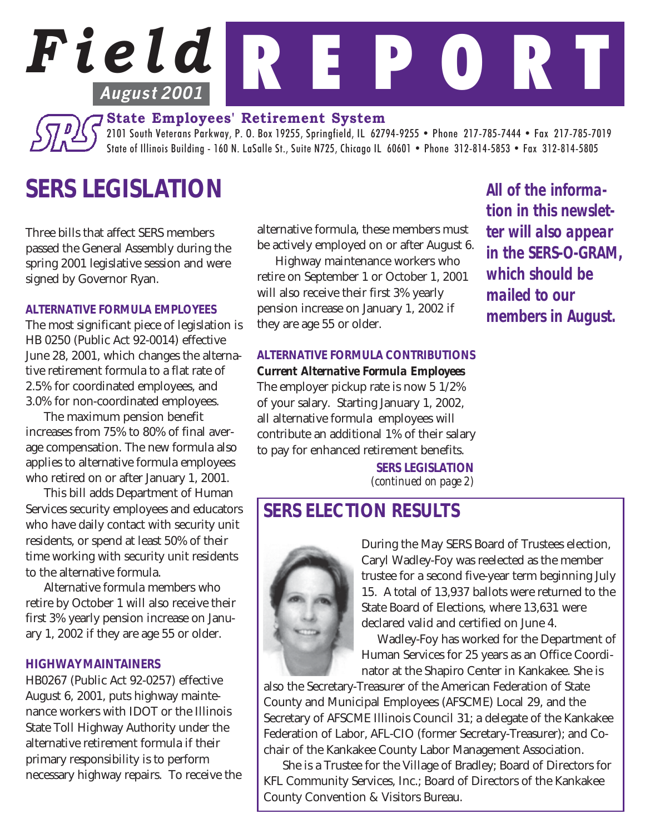# *Field* R E P O R T **August 2001**

**State Employees' Retirement System**

2101 South Veterans Parkway, P. O. Box 19255, Springfield, IL 62794-9255 • Phone 217-785-7444 • Fax 217-785-7019 State of Illinois Building - 160 N. LaSalle St., Suite N725, Chicago IL 60601 • Phone 312-814-5853 • Fax 312-814-5805

# *SERS LEGISLATION*

Three bills that affect SERS members passed the General Assembly during the spring 2001 legislative session and were signed by Governor Ryan.

#### *ALTERNATIVE FORMULA EMPLOYEES*

The most significant piece of legislation is HB 0250 (Public Act 92-0014) effective June 28, 2001, which changes the alternative retirement formula to a flat rate of 2.5% for coordinated employees, and 3.0% for non-coordinated employees.

The maximum pension benefit increases from 75% to 80% of final average compensation. The new formula also applies to alternative formula employees who retired on or after January 1, 2001.

This bill adds Department of Human Services security employees and educators who have daily contact with security unit residents, or spend at least 50% of their time working with security unit residents to the alternative formula.

Alternative formula members who retire by October 1 will also receive their first 3% yearly pension increase on January 1, 2002 if they are age 55 or older.

#### *HIGHWAY MAINTAINERS*

HB0267 (Public Act 92-0257) effective August 6, 2001, puts highway maintenance workers with IDOT or the Illinois State Toll Highway Authority under the alternative retirement formula if their primary responsibility is to perform necessary highway repairs. To receive the alternative formula, these members must be actively employed on or after August 6.

Highway maintenance workers who retire on September 1 or October 1, 2001 will also receive their first 3% yearly pension increase on January 1, 2002 if they are age 55 or older.

#### *ALTERNATIVE FORMULA CONTRIBUTIONS Current Alternative Formula Employees*

The employer pickup rate is now 5 1/2% of your salary. Starting January 1, 2002, all alternative formula employees will contribute an additional 1% of their salary to pay for enhanced retirement benefits.

> *SERS LEGISLATION (continued on page 2)*

### *SERS ELECTION RESULTS*



During the May SERS Board of Trustees election, Caryl Wadley-Foy was reelected as the member trustee for a second five-year term beginning July 15. A total of 13,937 ballots were returned to the State Board of Elections, where 13,631 were declared valid and certified on June 4.

Wadley-Foy has worked for the Department of Human Services for 25 years as an Office Coordinator at the Shapiro Center in Kankakee. She is

also the Secretary-Treasurer of the American Federation of State County and Municipal Employees (AFSCME) Local 29, and the Secretary of AFSCME Illinois Council 31; a delegate of the Kankakee Federation of Labor, AFL-CIO (former Secretary-Treasurer); and Cochair of the Kankakee County Labor Management Association.

She is a Trustee for the Village of Bradley; Board of Directors for KFL Community Services, Inc.; Board of Directors of the Kankakee County Convention & Visitors Bureau.

*All of the information in this newsletter will also appear in the SERS-O-GRAM, which should be mailed to our members in August.*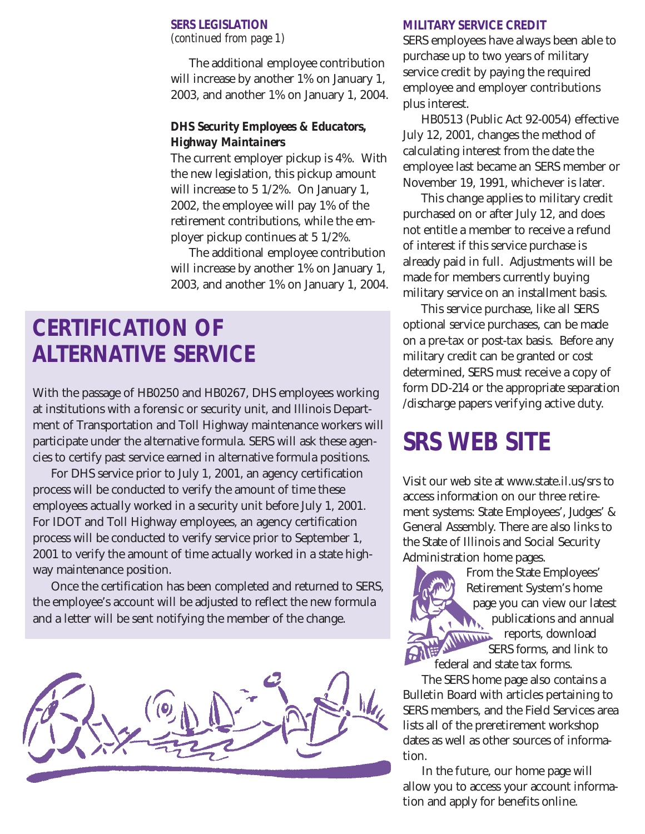#### *SERS LEGISLATION (continued from page 1)*

The additional employee contribution will increase by another 1% on January 1, 2003, and another 1% on January 1, 2004.

#### *DHS Security Employees & Educators, Highway Maintainers*

The current employer pickup is 4%. With the new legislation, this pickup amount will increase to 5 1/2%. On January 1, 2002, the employee will pay 1% of the retirement contributions, while the employer pickup continues at 5 1/2%.

The additional employee contribution will increase by another 1% on January 1, 2003, and another 1% on January 1, 2004.

# *CERTIFICATION OF ALTERNATIVE SERVICE*

With the passage of HB0250 and HB0267, DHS employees working at institutions with a forensic or security unit, and Illinois Department of Transportation and Toll Highway maintenance workers will participate under the alternative formula. SERS will ask these agencies to certify past service earned in alternative formula positions.

For DHS service prior to July 1, 2001, an agency certification process will be conducted to verify the amount of time these employees actually worked in a security unit before July 1, 2001. For IDOT and Toll Highway employees, an agency certification process will be conducted to verify service prior to September 1, 2001 to verify the amount of time actually worked in a state highway maintenance position.

Once the certification has been completed and returned to SERS, the employee's account will be adjusted to reflect the new formula and a letter will be sent notifying the member of the change.



#### *MILITARY SERVICE CREDIT*

SERS employees have always been able to purchase up to two years of military service credit by paying the required employee and employer contributions plus interest.

HB0513 (Public Act 92-0054) effective July 12, 2001, changes the method of calculating interest from the date the employee last became an SERS member or November 19, 1991, whichever is later.

This change applies to military credit purchased on or after July 12, and does not entitle a member to receive a refund of interest if this service purchase is already paid in full. Adjustments will be made for members currently buying military service on an installment basis.

This service purchase, like all SERS optional service purchases, can be made on a pre-tax or post-tax basis. Before any military credit can be granted or cost determined, SERS must receive a copy of form DD-214 or the appropriate separation /discharge papers verifying active duty.

# *SRS WEB SITE*

Visit our web site at www.state.il.us/srs to access information on our three retirement systems: State Employees', Judges' & General Assembly. There are also links to the State of Illinois and Social Security Administration home pages.



 From the State Employees' Retirement System's home page you can view our latest publications and annual reports, download SERS forms, and link to federal and state tax forms.

The SERS home page also contains a Bulletin Board with articles pertaining to SERS members, and the Field Services area lists all of the preretirement workshop dates as well as other sources of information.

In the future, our home page will allow you to access your account information and apply for benefits online.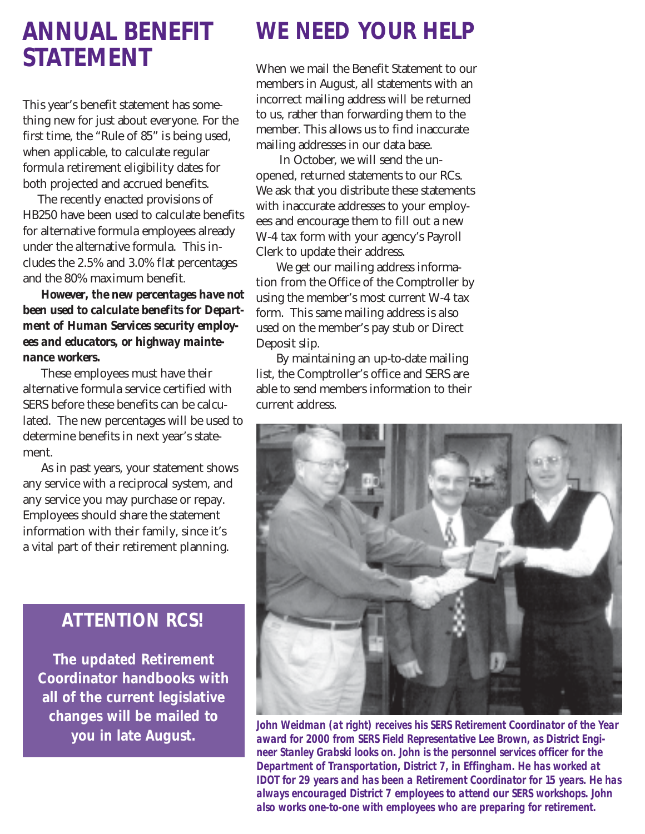## *ANNUAL BENEFIT STATEMENT*

This year's benefit statement has something new for just about everyone. For the first time, the "Rule of 85" is being used, when applicable, to calculate regular formula retirement eligibility dates for both projected and accrued benefits.

The recently enacted provisions of HB250 have been used to calculate benefits for alternative formula employees already under the alternative formula. This includes the 2.5% and 3.0% flat percentages and the 80% maximum benefit.

*However, the new percentages have not been used to calculate benefits for Department of Human Services security employees and educators, or highway maintenance workers.*

These employees must have their alternative formula service certified with SERS before these benefits can be calculated. The new percentages will be used to determine benefits in next year's statement.

As in past years, your statement shows any service with a reciprocal system, and any service you may purchase or repay. Employees should share the statement information with their family, since it's a vital part of their retirement planning.

#### *ATTENTION RCS!*

*The updated Retirement Coordinator handbooks with all of the current legislative changes will be mailed to you in late August.*

# *WE NEED YOUR HELP*

When we mail the Benefit Statement to our members in August, all statements with an incorrect mailing address will be returned to us, rather than forwarding them to the member. This allows us to find inaccurate mailing addresses in our data base.

 In October, we will send the unopened, returned statements to our RCs. We ask that you distribute these statements with inaccurate addresses to your employees and encourage them to fill out a new W-4 tax form with your agency's Payroll Clerk to update their address.

We get our mailing address information from the Office of the Comptroller by using the member's most current W-4 tax form. This same mailing address is also used on the member's pay stub or Direct Deposit slip.

By maintaining an up-to-date mailing list, the Comptroller's office and SERS are able to send members information to their current address.



*John Weidman (at right) receives his SERS Retirement Coordinator of the Year award for 2000 from SERS Field Representative Lee Brown, as District Engineer Stanley Grabski looks on. John is the personnel services officer for the Department of Transportation, District 7, in Effingham. He has worked at IDOT for 29 years and has been a Retirement Coordinator for 15 years. He has always encouraged District 7 employees to attend our SERS workshops. John also works one-to-one with employees who are preparing for retirement.*